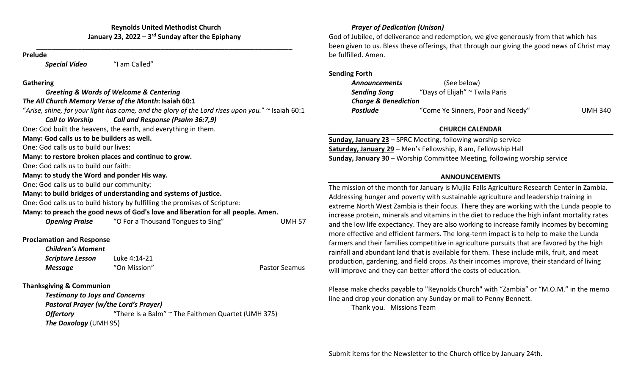### **Reynolds United Methodist Church January 23, <sup>2022</sup> – 3r<sup>d</sup> Sunday after the Epiphany**

**\_\_\_\_\_\_\_\_\_\_\_\_\_\_\_\_\_\_\_\_\_\_\_\_\_\_\_\_\_\_\_\_\_\_\_\_\_\_\_\_\_\_\_\_\_\_\_\_\_\_\_\_\_\_\_\_\_\_\_\_\_\_\_\_\_\_\_\_**

#### **Prelude**

*Special Video* "I am Called"

#### **Gathering**

|                                             | Greeting & Words of Welcome & Centering                                                               |                      |
|---------------------------------------------|-------------------------------------------------------------------------------------------------------|----------------------|
|                                             | The All Church Memory Verse of the Month: Isaiah 60:1                                                 |                      |
|                                             | "Arise, shine, for your light has come, and the glory of the Lord rises upon you." $\sim$ Isaiah 60:1 |                      |
| <b>Call to Worship</b>                      | Call and Response (Psalm 36:7,9)                                                                      |                      |
|                                             | One: God built the heavens, the earth, and everything in them.                                        |                      |
| Many: God calls us to be builders as well.  |                                                                                                       |                      |
| One: God calls us to build our lives:       |                                                                                                       |                      |
|                                             | Many: to restore broken places and continue to grow.                                                  |                      |
| One: God calls us to build our faith:       |                                                                                                       |                      |
| Many: to study the Word and ponder His way. |                                                                                                       |                      |
| One: God calls us to build our community:   |                                                                                                       |                      |
|                                             | Many: to build bridges of understanding and systems of justice.                                       |                      |
|                                             | One: God calls us to build history by fulfilling the promises of Scripture:                           |                      |
|                                             | Many: to preach the good news of God's love and liberation for all people. Amen.                      |                      |
|                                             | <b>Opening Praise</b> "O For a Thousand Tongues to Sing"                                              | <b>UMH 57</b>        |
| <b>Proclamation and Response</b>            |                                                                                                       |                      |
| <b>Children's Moment</b>                    |                                                                                                       |                      |
| <b>Scripture Lesson</b>                     | Luke 4:14-21                                                                                          |                      |
| <b>Message</b>                              | "On Mission"                                                                                          | <b>Pastor Seamus</b> |
| <b>Thanksgiving &amp; Communion</b>         |                                                                                                       |                      |
| <b>Testimony to Joys and Concerns</b>       |                                                                                                       |                      |
| Pastoral Prayer (w/the Lord's Prayer)       |                                                                                                       |                      |
| <b>Offertory</b>                            | "There Is a Balm" ~ The Faithmen Quartet (UMH 375)                                                    |                      |

*The Doxology* (UMH 95)

## *Prayer of Dedication (Unison)*

God of Jubilee, of deliverance and redemption, we give generously from that which has been given to us. Bless these offerings, that through our giving the good news of Christ may be fulfilled. Amen.

### **Sending Forth**

| <b>Announcements</b>            | (See below)                         |                |  |
|---------------------------------|-------------------------------------|----------------|--|
| <b>Sending Song</b>             | "Days of Elijah" $\sim$ Twila Paris |                |  |
| <b>Charge &amp; Benediction</b> |                                     |                |  |
| <b>Postlude</b>                 | "Come Ye Sinners, Poor and Needy"   | <b>UMH 340</b> |  |

# **CHURCH CALENDAR**

**Sunday, January 23** – SPRC Meeting, following worship service **Saturday, January 29** – Men's Fellowship, 8 am, Fellowship Hall **Sunday, January 30** – Worship Committee Meeting, following worship service

# **ANNOUNCEMENTS**

The mission of the month for January is Mujila Falls Agriculture Research Center in Zambia. Addressing hunger and poverty with sustainable agriculture and leadership training in extreme North West Zambia is their focus. There they are working with the Lunda people to increase protein, minerals and vitamins in the diet to reduce the high infant mortality rates and the low life expectancy. They are also working to increase family incomes by becoming more effective and efficient farmers. The long‐term impact is to help to make the Lunda farmers and their families competitive in agriculture pursuits that are favored by the high rainfall and abundant land that is available for them. These include milk, fruit, and meat production, gardening, and field crops. As their incomes improve, their standard of living will improve and they can better afford the costs of education.

Please make checks payable to "Reynolds Church" with "Zambia" or "M.O.M." in the memo line and drop your donation any Sunday or mail to Penny Bennett.

Thank you. Missions Team

Submit items for the Newsletter to the Church office by January 24th.